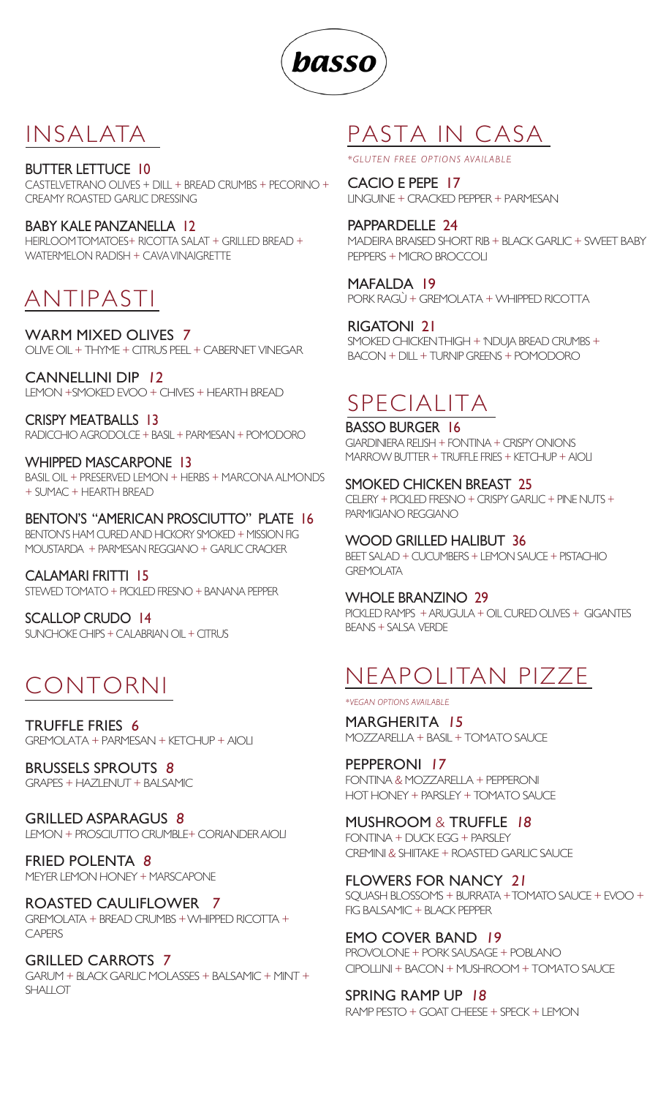

#### INSALATA

#### BUTTER LETTUCE 10

CASTELVETRANO OLIVES + DILL + BREAD CRUMBS + PECORINO + CREAMY ROASTED GARLIC DRESSING

BABY KALE PANZANELLA 12 HEIRLOOM TOMATOES+ RICOTTA SALAT + GRILLED BREAD + WATERMELON RADISH + CAVA VINAIGRETTE

### ANTIPASTI

WARM MIXED OLIVES <sup>7</sup> OLIVE OIL + THYME + CITRUS PEEL + CABERNET VINEGAR

CANNELLINI DIP <sup>12</sup> LEMON +SMOKED EVOO + CHIVES + HEARTH BREAD

CRISPY MEATBALLS 13 RADICCHIO AGRODOLCE + BASIL + PARMESAN + POMODORO

WHIPPED MASCARPONE 13 BASIL OIL + PRESERVED LEMON + HERBS + MARCONA ALMONDS + SUMAC + HEARTH BREAD

BENTON'S "AMERICAN PROSCIUTTO" PLATE 16 BENTON'S HAM CURED AND HICKORY SMOKED + MISSION FIG MOUSTARDA + PARMESAN REGGIANO + GARLIC CRACKER

CALAMARI FRITTI 15 STEWED TOMATO + PICKLED FRESNO + BANANA PEPPER

SCALLOP CRUDO 14 SUNCHOKE CHIPS + CALABRIAN OIL + CITRUS

# CONTORNI

TRUFFLE FRIES <sup>6</sup> GREMOLATA + PARMESAN + KETCHUP + AIOLI

BRUSSELS SPROUTS <sup>8</sup> GRAPES + HAZLENUT + BALSAMIC

GRILLED ASPARAGUS <sup>8</sup> LEMON + PROSCIUTTO CRUMBLE+ CORIANDER AIOLI

FRIED POLENTA <sup>8</sup> MEYER LEMON HONEY + MARSCAPONE

ROASTED CAULIFLOWER <sup>7</sup> GREMOLATA + BREAD CRUMBS + WHIPPED RICOTTA + **CAPERS** 

GRILLED CARROTS <sup>7</sup> GARUM + BLACK GARLIC MOLASSES + BALSAMIC + MINT + SHALLOT

## PASTA IN CASA

*\*GLUTEN FREE OPTIONS AVAILABLE*

CACIO E PEPE 17 LINGUINE + CRACKED PEPPER + PARMESAN

PAPPARDELLE 24 MADEIRA BRAISED SHORT RIB + BLACK GARLIC + SWEET BABY PEPPERS + MICRO BROCCOLI

MAFALDA 19 PORK RAGÙ + GREMOLATA + WHIPPED RICOTTA

RIGATONI 21 SMOKED CHICKEN THIGH + 'NDUJA BREAD CRUMBS + BACON + DILL + TURNIP GREENS + POMODORO

# SPECIALITA

BASSO BURGER 16 GIARDINIERA RELISH + FONTINA + CRISPY ONIONS MARROW BUTTER + TRUFFLE FRIES + KETCHUP + AIOLI

SMOKED CHICKEN BREAST 25 CELERY + PICKLED FRESNO + CRISPY GARLIC + PINE NUTS + PARMIGIANO REGGIANO

WOOD GRILLED HALIBUT 36 BEET SALAD + CUCUMBERS + LEMON SAUCE + PISTACHIO **GREMOLATA** 

WHOLE BRANZINO 29

PICKLED RAMPS + ARUGULA + OIL CURED OLIVES + GIGANTES BEANS + SALSA VERDE

# NEAPOLITAN PIZZE

*\*VEGAN OPTIONS AVAILABLE*

MARGHERITA <sup>15</sup> MOZZARELLA + BASIL + TOMATO SAUCE

PEPPERONI <sup>17</sup> FONTINA *&* MOZZARELLA *+* PEPPERONI HOT HONEY + PARSLEY + TOMATO SAUCE

MUSHROOM & TRUFFLE <sup>18</sup> FONTINA + DUCK EGG + PARSLEY CREMINI *&* SHIITAKE + ROASTED GARLIC SAUCE

FLOWERS FOR NANCY <sup>21</sup> SQUASH BLOSSOMS + BURRATA + TOMATO SAUCE + EVOO + FIG BALSAMIC + BLACK PEPPER

EMO COVER BAND <sup>19</sup> PROVOLONE + PORK SAUSAGE + POBLANO CIPOLLINI + BACON + MUSHROOM + TOMATO SAUCE

SPRING RAMP UP <sup>18</sup> RAMP PESTO + GOAT CHEESE + SPECK + LEMON